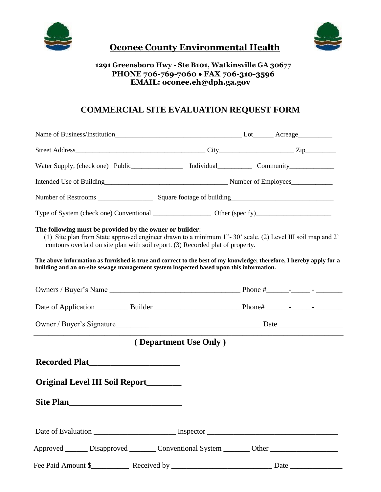



# **Oconee County Environmental Health**

### **1291 Greensboro Hwy - Ste B101, Watkinsville GA 30677 PHONE 706-769-7060** • **FAX 706-310-3596 EMAIL: oconee.eh@dph.ga.gov**

## **COMMERCIAL SITE EVALUATION REQUEST FORM**

| Water Supply, (check one) Public________________ Individual_____________ Community_________________                                                                                                                                                                                                                                                                                                                                                                       |                                                                                                    |  |
|---------------------------------------------------------------------------------------------------------------------------------------------------------------------------------------------------------------------------------------------------------------------------------------------------------------------------------------------------------------------------------------------------------------------------------------------------------------------------|----------------------------------------------------------------------------------------------------|--|
|                                                                                                                                                                                                                                                                                                                                                                                                                                                                           | Intended Use of Building<br><u>Intended</u> Use of Building<br><u> Lateral Aumber of Employees</u> |  |
|                                                                                                                                                                                                                                                                                                                                                                                                                                                                           |                                                                                                    |  |
|                                                                                                                                                                                                                                                                                                                                                                                                                                                                           |                                                                                                    |  |
| The following must be provided by the owner or builder:<br>(1) Site plan from State approved engineer drawn to a minimum 1"-30' scale. (2) Level III soil map and 2'<br>contours overlaid on site plan with soil report. (3) Recorded plat of property.<br>The above information as furnished is true and correct to the best of my knowledge; therefore, I hereby apply for a<br>building and an on-site sewage management system inspected based upon this information. |                                                                                                    |  |
|                                                                                                                                                                                                                                                                                                                                                                                                                                                                           |                                                                                                    |  |
|                                                                                                                                                                                                                                                                                                                                                                                                                                                                           |                                                                                                    |  |
|                                                                                                                                                                                                                                                                                                                                                                                                                                                                           |                                                                                                    |  |
| (Department Use Only)                                                                                                                                                                                                                                                                                                                                                                                                                                                     |                                                                                                    |  |
| Recorded Plat<br>Original Level III Soil Report_______<br><b>Site Plan</b>                                                                                                                                                                                                                                                                                                                                                                                                |                                                                                                    |  |
|                                                                                                                                                                                                                                                                                                                                                                                                                                                                           |                                                                                                    |  |
| Approved _______ Disapproved _________ Conventional System ________ Other _________________________                                                                                                                                                                                                                                                                                                                                                                       |                                                                                                    |  |
|                                                                                                                                                                                                                                                                                                                                                                                                                                                                           |                                                                                                    |  |